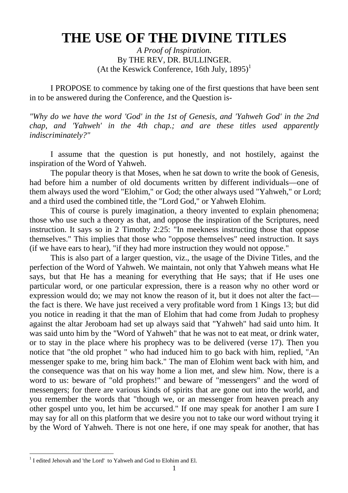# **THE USE OF THE DIVINE TITLES**

*A Proof of Inspiration.* By THE REV, DR. BULLINGER. (At the Keswick Conference, 16th July,  $1895$ )<sup>1</sup>

I PROPOSE to commence by taking one of the first questions that have been sent in to be answered during the Conference, and the Question is-

*"Why do we have the word 'God' in the 1st of Genesis, and 'Yahweh God' in the 2nd chap, and 'Yahweh' in the 4th chap.; and are these titles used apparently indiscriminately?"*

I assume that the question is put honestly, and not hostilely, against the inspiration of the Word of Yahweh.

The popular theory is that Moses, when he sat down to write the book of Genesis, had before him a number of old documents written by different individuals—one of them always used the word "Elohim," or God; the other always used "Yahweh," or Lord; and a third used the combined title, the "Lord God," or Yahweh Elohim.

This of course is purely imagination, a theory invented to explain phenomena; those who use such a theory as that, and oppose the inspiration of the Scriptures, need instruction. It says so in 2 Timothy 2:25: "In meekness instructing those that oppose themselves." This implies that those who "oppose themselves" need instruction. It says (if we have ears to hear), "if they had more instruction they would not oppose."

This is also part of a larger question, viz., the usage of the Divine Titles, and the perfection of the Word of Yahweh. We maintain, not only that Yahweh means what He says, but that He has a meaning for everything that He says; that if He uses one particular word, or one particular expression, there is a reason why no other word or expression would do; we may not know the reason of it, but it does not alter the fact the fact is there. We have just received a very profitable word from 1 Kings 13; but did you notice in reading it that the man of Elohim that had come from Judah to prophesy against the altar Jeroboam had set up always said that "Yahweh" had said unto him. It was said unto him by the "Word of Yahweh" that he was not to eat meat, or drink water, or to stay in the place where his prophecy was to be delivered (verse 17). Then you notice that "the old prophet " who had induced him to go back with him, replied, "An messenger spake to me, bring him back." The man of Elohim went back with him, and the consequence was that on his way home a lion met, and slew him. Now, there is a word to us: beware of "old prophets!" and beware of "messengers" and the word of messengers; for there are various kinds of spirits that are gone out into the world, and you remember the words that "though we, or an messenger from heaven preach any other gospel unto you, let him be accursed." If one may speak for another I am sure I may say for all on this platform that we desire you not to take our word without trying it by the Word of Yahweh. There is not one here, if one may speak for another, that has

<sup>&</sup>lt;sup>1</sup> I edited Jehovah and 'the Lord' to Yahweh and God to Elohim and El.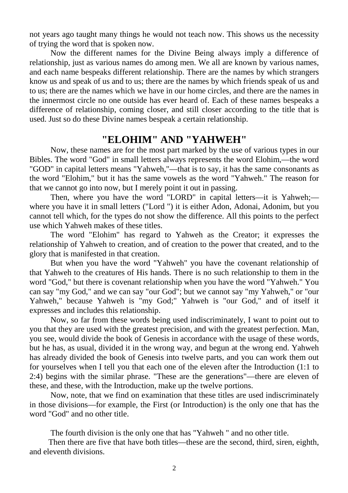not years ago taught many things he would not teach now. This shows us the necessity of trying the word that is spoken now.

Now the different names for the Divine Being always imply a difference of relationship, just as various names do among men. We all are known by various names, and each name bespeaks different relationship. There are the names by which strangers know us and speak of us and to us; there are the names by which friends speak of us and to us; there are the names which we have in our home circles, and there are the names in the innermost circle no one outside has ever heard of. Each of these names bespeaks a difference of relationship, coming closer, and still closer according to the title that is used. Just so do these Divine names bespeak a certain relationship.

## **"ELOHIM" AND "YAHWEH"**

Now, these names are for the most part marked by the use of various types in our Bibles. The word "God" in small letters always represents the word Elohim,—the word "GOD" in capital letters means "Yahweh,"—that is to say, it has the same consonants as the word "Elohim," but it has the same vowels as the word "Yahweh." The reason for that we cannot go into now, but I merely point it out in passing.

Then, where you have the word "LORD" in capital letters—it is Yahweh; where you have it in small letters ("Lord ") it is either Adon, Adonai, Adonim, but you cannot tell which, for the types do not show the difference. All this points to the perfect use which Yahweh makes of these titles.

The word "Elohim" has regard to Yahweh as the Creator; it expresses the relationship of Yahweh to creation, and of creation to the power that created, and to the glory that is manifested in that creation.

But when you have the word "Yahweh" you have the covenant relationship of that Yahweh to the creatures of His hands. There is no such relationship to them in the word "God," but there is covenant relationship when you have the word "Yahweh." You can say "my God," and we can say "our God"; but we cannot say "my Yahweh," or "our Yahweh," because Yahweh is "my God;" Yahweh is "our God," and of itself it expresses and includes this relationship.

Now, so far from these words being used indiscriminately, I want to point out to you that they are used with the greatest precision, and with the greatest perfection. Man, you see, would divide the book of Genesis in accordance with the usage of these words, but he has, as usual, divided it in the wrong way, and begun at the wrong end. Yahweh has already divided the book of Genesis into twelve parts, and you can work them out for yourselves when I tell you that each one of the eleven after the Introduction (1:1 to 2:4) begins with the similar phrase. "These are the generations"—there are eleven of these, and these, with the Introduction, make up the twelve portions.

Now, note, that we find on examination that these titles are used indiscriminately in those divisions—for example, the First (or Introduction) is the only one that has the word "God" and no other title.

The fourth division is the only one that has "Yahweh " and no other title.

Then there are five that have both titles—these are the second, third, siren, eighth, and eleventh divisions.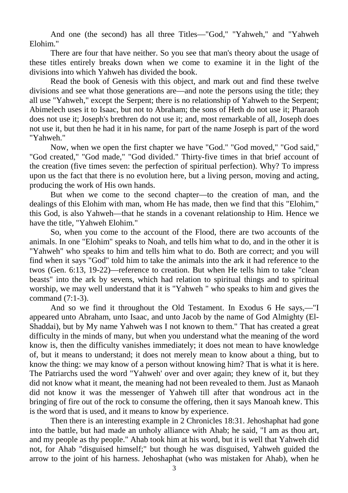And one (the second) has all three Titles—"God," "Yahweh," and "Yahweh Elohim."

There are four that have neither. So you see that man's theory about the usage of these titles entirely breaks down when we come to examine it in the light of the divisions into which Yahweh has divided the book.

Read the book of Genesis with this object, and mark out and find these twelve divisions and see what those generations are—and note the persons using the title; they all use "Yahweh," except the Serpent; there is no relationship of Yahweh to the Serpent; Abimelech uses it to Isaac, but not to Abraham; the sons of Heth do not use it; Pharaoh does not use it; Joseph's brethren do not use it; and, most remarkable of all, Joseph does not use it, but then he had it in his name, for part of the name Joseph is part of the word "Yahweh."

Now, when we open the first chapter we have "God." "God moved," "God said," "God created," "God made," "God divided." Thirty-five times in that brief account of the creation (five times seven: the perfection of spiritual perfection). Why? To impress upon us the fact that there is no evolution here, but a living person, moving and acting, producing the work of His own hands.

But when we come to the second chapter—to the creation of man, and the dealings of this Elohim with man, whom He has made, then we find that this "Elohim," this God, is also Yahweh—that he stands in a covenant relationship to Him. Hence we have the title, "Yahweh Elohim."

So, when you come to the account of the Flood, there are two accounts of the animals. In one "Elohim" speaks to Noah, and tells him what to do, and in the other it is "Yahweh" who speaks to him and tells him what to do. Both are correct; and you will find when it says "God" told him to take the animals into the ark it had reference to the twos (Gen. 6:13, 19-22)—reference to creation. But when He tells him to take "clean beasts" into the ark by sevens, which had relation to spiritual things and to spiritual worship, we may well understand that it is "Yahweh " who speaks to him and gives the command (7:1-3).

And so we find it throughout the Old Testament. In Exodus 6 He says,—"I appeared unto Abraham, unto Isaac, and unto Jacob by the name of God Almighty (El-Shaddai), but by My name Yahweh was I not known to them." That has created a great difficulty in the minds of many, but when you understand what the meaning of the word know is, then the difficulty vanishes immediately; it does not mean to have knowledge of, but it means to understand; it does not merely mean to know about a thing, but to know the thing: we may know of a person without knowing him? That is what it is here. The Patriarchs used the word "Yahweh' over and over again; they knew of it, but they did not know what it meant, the meaning had not been revealed to them. Just as Manaoh did not know it was the messenger of Yahweh till after that wondrous act in the bringing of fire out of the rock to consume the offering, then it says Manoah knew. This is the word that is used, and it means to know by experience.

Then there is an interesting example in 2 Chronicles 18:31. Jehoshaphat had gone into the battle, but had made an unholy alliance with Ahab; he said, "I am as thou art, and my people as thy people." Ahab took him at his word, but it is well that Yahweh did not, for Ahab "disguised himself;" but though he was disguised, Yahweh guided the arrow to the joint of his harness. Jehoshaphat (who was mistaken for Ahab), when he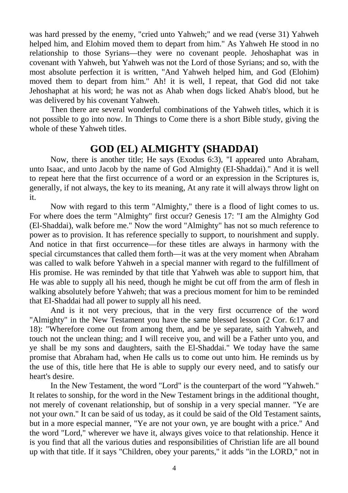was hard pressed by the enemy, "cried unto Yahweh;" and we read (verse 31) Yahweh helped him, and Elohim moved them to depart from him." As Yahweh He stood in no relationship to those Syrians—they were no covenant people. Jehoshaphat was in covenant with Yahweh, but Yahweh was not the Lord of those Syrians; and so, with the most absolute perfection it is written, "And Yahweh helped him, and God (Elohim) moved them to depart from him." Ah! it is well, I repeat, that God did not take Jehoshaphat at his word; he was not as Ahab when dogs licked Ahab's blood, but he was delivered by his covenant Yahweh.

Then there are several wonderful combinations of the Yahweh titles, which it is not possible to go into now. In Things to Come there is a short Bible study, giving the whole of these Yahweh titles.

## **GOD (EL) ALMIGHTY (SHADDAI)**

Now, there is another title; He says (Exodus 6:3), "I appeared unto Abraham, unto Isaac, and unto Jacob by the name of God Almighty (EI-Shaddai)." And it is well to repeat here that the first occurrence of a word or an expression in the Scriptures is, generally, if not always, the key to its meaning, At any rate it will always throw light on it.

Now with regard to this term "Almighty," there is a flood of light comes to us. For where does the term "Almighty" first occur? Genesis 17: "I am the Almighty God (El-Shaddai), walk before me." Now the word "Almighty" has not so much reference to power as to provision. It has reference specially to support, to nourishment and supply. And notice in that first occurrence—for these titles are always in harmony with the special circumstances that called them forth—it was at the very moment when Abraham was called to walk before Yahweh in a special manner with regard to the fulfillment of His promise. He was reminded by that title that Yahweh was able to support him, that He was able to supply all his need, though he might be cut off from the arm of flesh in walking absolutely before Yahweh; that was a precious moment for him to be reminded that EI-Shaddai had all power to supply all his need.

And is it not very precious, that in the very first occurrence of the word "Almighty" in the New Testament you have the same blessed lesson (2 Cor. 6:17 and 18): "Wherefore come out from among them, and be ye separate, saith Yahweh, and touch not the unclean thing; and I will receive you, and will be a Father unto you, and ye shall be my sons and daughters, saith the El-Shaddai." We today have the same promise that Abraham had, when He calls us to come out unto him. He reminds us by the use of this, title here that He is able to supply our every need, and to satisfy our heart's desire.

In the New Testament, the word "Lord" is the counterpart of the word "Yahweh." It relates to sonship, for the word in the New Testament brings in the additional thought, not merely of covenant relationship, but of sonship in a very special manner. "Ye are not your own." It can be said of us today, as it could be said of the Old Testament saints, but in a more especial manner, "Ye are not your own, ye are bought with a price." And the word "Lord," wherever we have it, always gives voice to that relationship. Hence it is you find that all the various duties and responsibilities of Christian life are all bound up with that title. If it says "Children, obey your parents," it adds "in the LORD," not in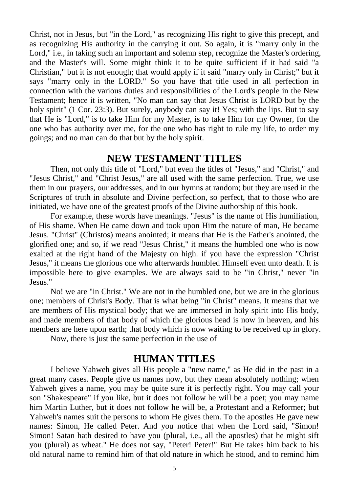Christ, not in Jesus, but "in the Lord," as recognizing His right to give this precept, and as recognizing His authority in the carrying it out. So again, it is "marry only in the Lord," i.e., in taking such an important and solemn step, recognize the Master's ordering, and the Master's will. Some might think it to be quite sufficient if it had said "a Christian," but it is not enough; that would apply if it said "marry only in Christ;" but it says "marry only in the LORD." So you have that title used in all perfection in connection with the various duties and responsibilities of the Lord's people in the New Testament; hence it is written, "No man can say that Jesus Christ is LORD but by the holy spirit" (1 Cor. 23:3). But surely, anybody can say it! Yes; with the lips. But to say that He is "Lord," is to take Him for my Master, is to take Him for my Owner, for the one who has authority over me, for the one who has right to rule my life, to order my goings; and no man can do that but by the holy spirit.

#### **NEW TESTAMENT TITLES**

Then, not only this title of "Lord," but even the titles of "Jesus," and "Christ," and "Jesus Christ," and "Christ Jesus," are all used with the same perfection. True, we use them in our prayers, our addresses, and in our hymns at random; but they are used in the Scriptures of truth in absolute and Divine perfection, so perfect, that to those who are initiated, we have one of the greatest proofs of the Divine authorship of this book.

For example, these words have meanings. "Jesus" is the name of His humiliation, of His shame. When He came down and took upon Him the nature of man, He became Jesus. "Christ" (Christos) means anointed; it means that He is the Father's anointed, the glorified one; and so, if we read "Jesus Christ," it means the humbled one who is now exalted at the right hand of the Majesty on high. if you have the expression "Christ Jesus," it means the glorious one who afterwards humbled Himself even unto death. It is impossible here to give examples. We are always said to be "in Christ," never "in Jesus."

No! we are "in Christ." We are not in the humbled one, but we are in the glorious one; members of Christ's Body. That is what being "in Christ" means. It means that we are members of His mystical body; that we are immersed in holy spirit into His body, and made members of that body of which the glorious head is now in heaven, and his members are here upon earth; that body which is now waiting to be received up in glory.

Now, there is just the same perfection in the use of

## **HUMAN TITLES**

I believe Yahweh gives all His people a "new name," as He did in the past in a great many cases. People give us names now, but they mean absolutely nothing; when Yahweh gives a name, you may be quite sure it is perfectly right. You may call your son "Shakespeare" if you like, but it does not follow he will be a poet; you may name him Martin Luther, but it does not follow he will be, a Protestant and a Reformer; but Yahweh's names suit the persons to whom He gives them. To the apostles He gave new names: Simon, He called Peter. And you notice that when the Lord said, "Simon! Simon! Satan hath desired to have you (plural, i.e., all the apostles) that he might sift you (plural) as wheat." He does not say, "Peter! Peter!" But He takes him back to his old natural name to remind him of that old nature in which he stood, and to remind him